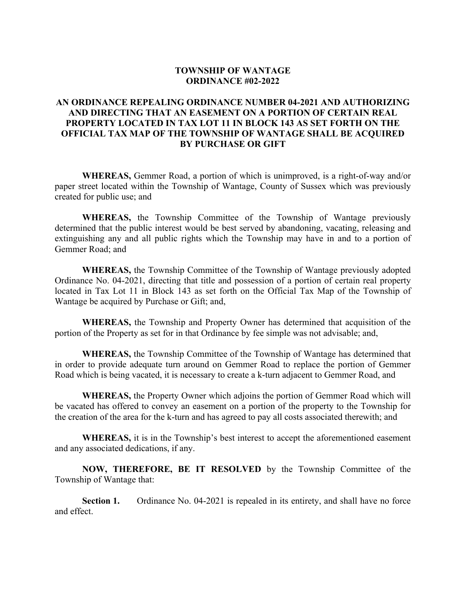## **TOWNSHIP OF WANTAGE ORDINANCE #02-2022**

## **AN ORDINANCE REPEALING ORDINANCE NUMBER 04-2021 AND AUTHORIZING AND DIRECTING THAT AN EASEMENT ON A PORTION OF CERTAIN REAL PROPERTY LOCATED IN TAX LOT 11 IN BLOCK 143 AS SET FORTH ON THE OFFICIAL TAX MAP OF THE TOWNSHIP OF WANTAGE SHALL BE ACQUIRED BY PURCHASE OR GIFT**

**WHEREAS,** Gemmer Road, a portion of which is unimproved, is a right-of-way and/or paper street located within the Township of Wantage, County of Sussex which was previously created for public use; and

**WHEREAS,** the Township Committee of the Township of Wantage previously determined that the public interest would be best served by abandoning, vacating, releasing and extinguishing any and all public rights which the Township may have in and to a portion of Gemmer Road; and

**WHEREAS,** the Township Committee of the Township of Wantage previously adopted Ordinance No. 04-2021, directing that title and possession of a portion of certain real property located in Tax Lot 11 in Block 143 as set forth on the Official Tax Map of the Township of Wantage be acquired by Purchase or Gift; and,

**WHEREAS,** the Township and Property Owner has determined that acquisition of the portion of the Property as set for in that Ordinance by fee simple was not advisable; and,

**WHEREAS,** the Township Committee of the Township of Wantage has determined that in order to provide adequate turn around on Gemmer Road to replace the portion of Gemmer Road which is being vacated, it is necessary to create a k-turn adjacent to Gemmer Road, and

**WHEREAS,** the Property Owner which adjoins the portion of Gemmer Road which will be vacated has offered to convey an easement on a portion of the property to the Township for the creation of the area for the k-turn and has agreed to pay all costs associated therewith; and

**WHEREAS,** it is in the Township's best interest to accept the aforementioned easement and any associated dedications, if any.

**NOW, THEREFORE, BE IT RESOLVED** by the Township Committee of the Township of Wantage that:

**Section 1.** Ordinance No. 04-2021 is repealed in its entirety, and shall have no force and effect.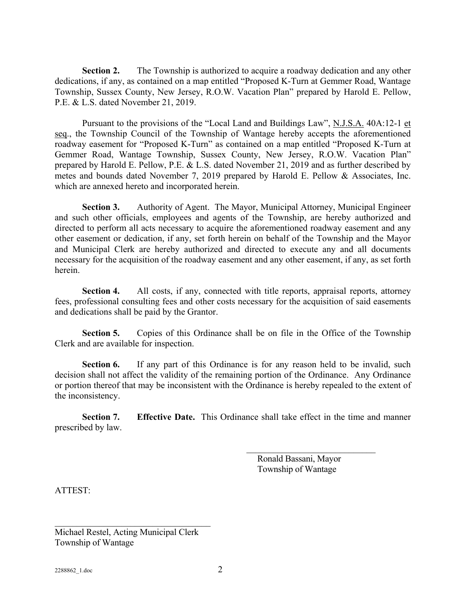**Section 2.** The Township is authorized to acquire a roadway dedication and any other dedications, if any, as contained on a map entitled "Proposed K-Turn at Gemmer Road, Wantage Township, Sussex County, New Jersey, R.O.W. Vacation Plan" prepared by Harold E. Pellow, P.E. & L.S. dated November 21, 2019.

Pursuant to the provisions of the "Local Land and Buildings Law", N.J.S.A. 40A:12-1 et seq., the Township Council of the Township of Wantage hereby accepts the aforementioned roadway easement for "Proposed K-Turn" as contained on a map entitled "Proposed K-Turn at Gemmer Road, Wantage Township, Sussex County, New Jersey, R.O.W. Vacation Plan" prepared by Harold E. Pellow, P.E. & L.S. dated November 21, 2019 and as further described by metes and bounds dated November 7, 2019 prepared by Harold E. Pellow & Associates, Inc. which are annexed hereto and incorporated herein.

**Section 3.** Authority of Agent. The Mayor, Municipal Attorney, Municipal Engineer and such other officials, employees and agents of the Township, are hereby authorized and directed to perform all acts necessary to acquire the aforementioned roadway easement and any other easement or dedication, if any, set forth herein on behalf of the Township and the Mayor and Municipal Clerk are hereby authorized and directed to execute any and all documents necessary for the acquisition of the roadway easement and any other easement, if any, as set forth herein.

**Section 4.** All costs, if any, connected with title reports, appraisal reports, attorney fees, professional consulting fees and other costs necessary for the acquisition of said easements and dedications shall be paid by the Grantor.

**Section 5.** Copies of this Ordinance shall be on file in the Office of the Township Clerk and are available for inspection.

**Section 6.** If any part of this Ordinance is for any reason held to be invalid, such decision shall not affect the validity of the remaining portion of the Ordinance. Any Ordinance or portion thereof that may be inconsistent with the Ordinance is hereby repealed to the extent of the inconsistency.

**Section 7. Effective Date.** This Ordinance shall take effect in the time and manner prescribed by law.

> Ronald Bassani, Mayor Township of Wantage

ATTEST:

Michael Restel, Acting Municipal Clerk Township of Wantage

\_\_\_\_\_\_\_\_\_\_\_\_\_\_\_\_\_\_\_\_\_\_\_\_\_\_\_\_\_\_\_\_\_\_\_